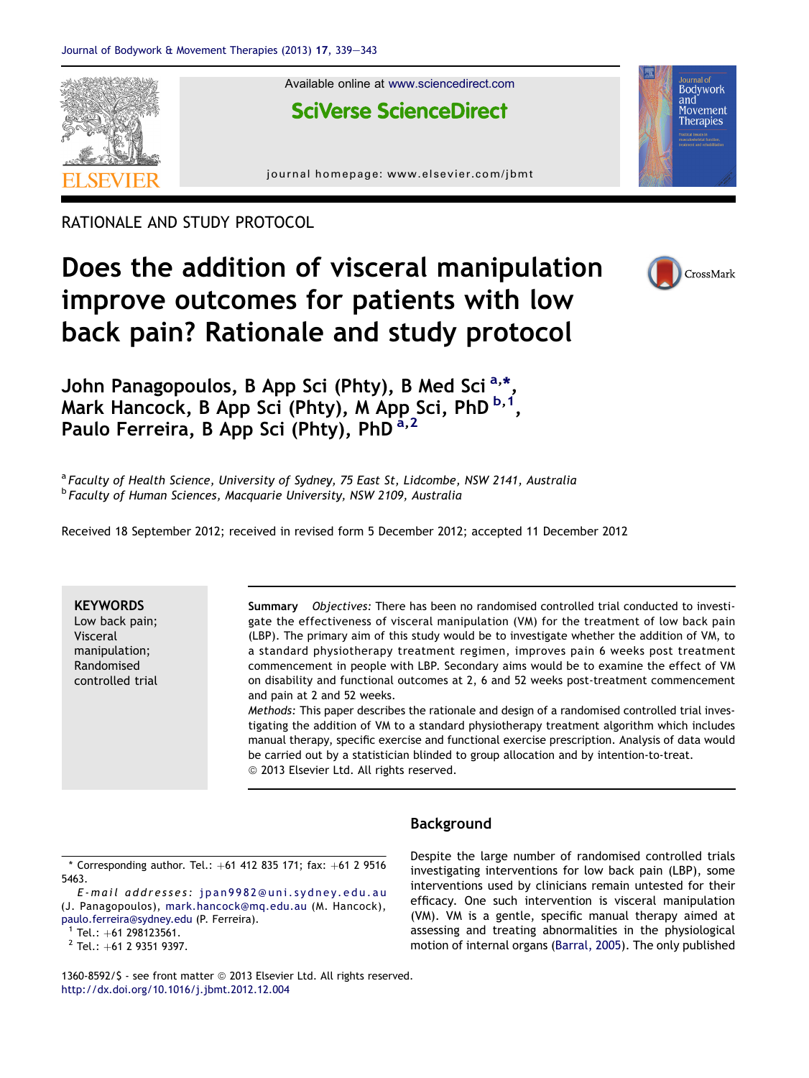

RATIONALE AND STUDY PROTOCOL

# Does the addition of visceral manipulation improve outcomes for patients with low back pain? Rationale and study protocol



John Panagopoulos, B App Sci (Phty), B Med Sci<sup>a,\*</sup>, Mark Hancock, B App Sci (Phty), M App Sci, PhD  $^{b,1}$ , Paulo Ferreira, B App Sci (Phty), PhD<sup>a,2</sup>

<sup>a</sup> Faculty of Health Science, University of Sydney, 75 East St, Lidcombe, NSW 2141, Australia **b Faculty of Human Sciences, Macquarie University, NSW 2109, Australia** 

Received 18 September 2012; received in revised form 5 December 2012; accepted 11 December 2012

### **KEYWORDS**

Low back pain; Visceral manipulation; Randomised controlled trial Summary Objectives: There has been no randomised controlled trial conducted to investigate the effectiveness of visceral manipulation (VM) for the treatment of low back pain (LBP). The primary aim of this study would be to investigate whether the addition of VM, to a standard physiotherapy treatment regimen, improves pain 6 weeks post treatment commencement in people with LBP. Secondary aims would be to examine the effect of VM on disability and functional outcomes at 2, 6 and 52 weeks post-treatment commencement and pain at 2 and 52 weeks.

Methods: This paper describes the rationale and design of a randomised controlled trial investigating the addition of VM to a standard physiotherapy treatment algorithm which includes manual therapy, specific exercise and functional exercise prescription. Analysis of data would be carried out by a statistician blinded to group allocation and by intention-to-treat.  $@$  2013 Elsevier Ltd. All rights reserved.

## Background

 $*$  Corresponding author. Tel.:  $+61$  412 835 171; fax:  $+61$  2 9516 5463.

E-mail addresses: [jpan9982@uni.sydney.edu.au](mailto:jpan9982@uni.sydney.edu.au) [\(](mailto:jpan9982@uni.sydney.edu.au)J. Panagopoulos), [mark.hancock@mq.edu.au](mailto:mark.hancock@mq.edu.au) (M. Hancock),

[paulo.ferreira@sydney.edu](mailto:paulo.ferreira@sydney.edu) (P. Ferreira).<br><sup>1</sup> Tel.: +61 298123561.<br><sup>2</sup> Tel.: +61 2 9351 9397.

Despite the large number of randomised controlled trials investigating interventions for low back pain (LBP), some interventions used by clinicians remain untested for their efficacy. One such intervention is visceral manipulation (VM). VM is a gentle, specific manual therapy aimed at assessing and treating abnormalities in the physiological motion of internal organs [\(Barral, 2005](#page-4-0)). The only published

1360-8592/\$ - see front matter @ 2013 Elsevier Ltd. All rights reserved. <http://dx.doi.org/10.1016/j.jbmt.2012.12.004>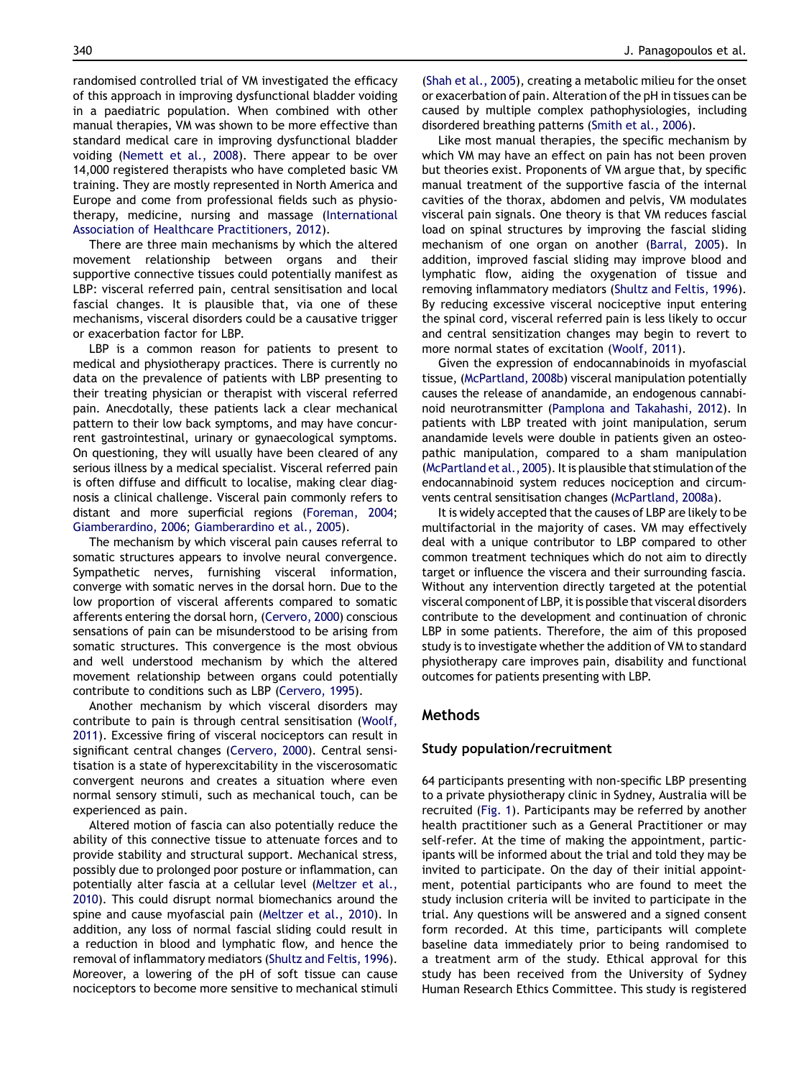randomised controlled trial of VM investigated the efficacy of this approach in improving dysfunctional bladder voiding in a paediatric population. When combined with other manual therapies, VM was shown to be more effective than standard medical care in improving dysfunctional bladder voiding [\(Nemett et al., 2008\)](#page-4-0). There appear to be over 14,000 registered therapists who have completed basic VM training. They are mostly represented in North America and Europe and come from professional fields such as physiotherapy, medicine, nursing and massage [\(International](#page-4-0) [Association of Healthcare Practitioners, 2012\)](#page-4-0).

There are three main mechanisms by which the altered movement relationship between organs and their supportive connective tissues could potentially manifest as LBP: visceral referred pain, central sensitisation and local fascial changes. It is plausible that, via one of these mechanisms, visceral disorders could be a causative trigger or exacerbation factor for LBP.

LBP is a common reason for patients to present to medical and physiotherapy practices. There is currently no data on the prevalence of patients with LBP presenting to their treating physician or therapist with visceral referred pain. Anecdotally, these patients lack a clear mechanical pattern to their low back symptoms, and may have concurrent gastrointestinal, urinary or gynaecological symptoms. On questioning, they will usually have been cleared of any serious illness by a medical specialist. Visceral referred pain is often diffuse and difficult to localise, making clear diagnosis a clinical challenge. Visceral pain commonly refers to distant and more superficial regions ([Foreman, 2004;](#page-4-0) [Giamberardino, 2006](#page-4-0); [Giamberardino et al., 2005](#page-4-0)).

The mechanism by which visceral pain causes referral to somatic structures appears to involve neural convergence. Sympathetic nerves, furnishing visceral information, converge with somatic nerves in the dorsal horn. Due to the low proportion of visceral afferents compared to somatic afferents entering the dorsal horn, [\(Cervero, 2000\)](#page-4-0) conscious sensations of pain can be misunderstood to be arising from somatic structures. This convergence is the most obvious and well understood mechanism by which the altered movement relationship between organs could potentially contribute to conditions such as LBP ([Cervero, 1995](#page-4-0)).

Another mechanism by which visceral disorders may contribute to pain is through central sensitisation [\(Woolf,](#page-4-0) [2011](#page-4-0)). Excessive firing of visceral nociceptors can result in significant central changes ([Cervero, 2000\)](#page-4-0). Central sensitisation is a state of hyperexcitability in the viscerosomatic convergent neurons and creates a situation where even normal sensory stimuli, such as mechanical touch, can be experienced as pain.

Altered motion of fascia can also potentially reduce the ability of this connective tissue to attenuate forces and to provide stability and structural support. Mechanical stress, possibly due to prolonged poor posture or inflammation, can potentially alter fascia at a cellular level ([Meltzer et al.,](#page-4-0) [2010](#page-4-0)). This could disrupt normal biomechanics around the spine and cause myofascial pain [\(Meltzer et al., 2010](#page-4-0)). In addition, any loss of normal fascial sliding could result in a reduction in blood and lymphatic flow, and hence the removal of inflammatory mediators [\(Shultz and Feltis, 1996](#page-4-0)). Moreover, a lowering of the pH of soft tissue can cause nociceptors to become more sensitive to mechanical stimuli

[\(Shah et al., 2005\)](#page-4-0), creating a metabolic milieu for the onset or exacerbation of pain. Alteration of the pH in tissues can be caused by multiple complex pathophysiologies, including disordered breathing patterns ([Smith et al., 2006](#page-4-0)).

Like most manual therapies, the specific mechanism by which VM may have an effect on pain has not been proven but theories exist. Proponents of VM argue that, by specific manual treatment of the supportive fascia of the internal cavities of the thorax, abdomen and pelvis, VM modulates visceral pain signals. One theory is that VM reduces fascial load on spinal structures by improving the fascial sliding mechanism of one organ on another ([Barral, 2005](#page-4-0)). In addition, improved fascial sliding may improve blood and lymphatic flow, aiding the oxygenation of tissue and removing inflammatory mediators ([Shultz and Feltis, 1996](#page-4-0)). By reducing excessive visceral nociceptive input entering the spinal cord, visceral referred pain is less likely to occur and central sensitization changes may begin to revert to more normal states of excitation ([Woolf, 2011\)](#page-4-0).

Given the expression of endocannabinoids in myofascial tissue, [\(McPartland, 2008b\)](#page-4-0) visceral manipulation potentially causes the release of anandamide, an endogenous cannabinoid neurotransmitter ([Pamplona and Takahashi, 2012](#page-4-0)). In patients with LBP treated with joint manipulation, serum anandamide levels were double in patients given an osteopathic manipulation, compared to a sham manipulation [\(McPartland et al., 2005\)](#page-4-0). It is plausible that stimulation of the endocannabinoid system reduces nociception and circumvents central sensitisation changes ([McPartland, 2008a](#page-4-0)).

It is widely accepted that the causes of LBP are likely to be multifactorial in the majority of cases. VM may effectively deal with a unique contributor to LBP compared to other common treatment techniques which do not aim to directly target or influence the viscera and their surrounding fascia. Without any intervention directly targeted at the potential visceral component of LBP, it is possible that visceral disorders contribute to the development and continuation of chronic LBP in some patients. Therefore, the aim of this proposed study is to investigate whether the addition of VM to standard physiotherapy care improves pain, disability and functional outcomes for patients presenting with LBP.

### Methods

### Study population/recruitment

64 participants presenting with non-specific LBP presenting to a private physiotherapy clinic in Sydney, Australia will be recruited [\(Fig. 1\)](#page-2-0). Participants may be referred by another health practitioner such as a General Practitioner or may self-refer. At the time of making the appointment, participants will be informed about the trial and told they may be invited to participate. On the day of their initial appointment, potential participants who are found to meet the study inclusion criteria will be invited to participate in the trial. Any questions will be answered and a signed consent form recorded. At this time, participants will complete baseline data immediately prior to being randomised to a treatment arm of the study. Ethical approval for this study has been received from the University of Sydney Human Research Ethics Committee. This study is registered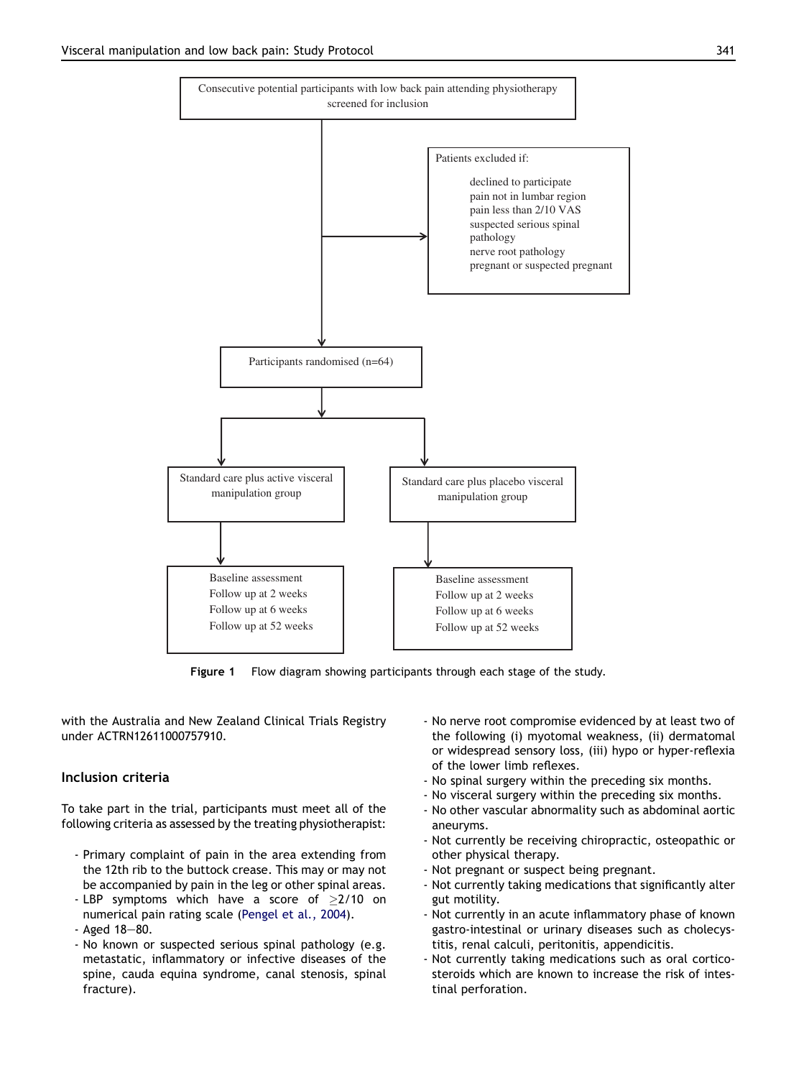<span id="page-2-0"></span>

Figure 1 Flow diagram showing participants through each stage of the study.

with the Australia and New Zealand Clinical Trials Registry under ACTRN12611000757910.

### Inclusion criteria

To take part in the trial, participants must meet all of the following criteria as assessed by the treating physiotherapist:

- Primary complaint of pain in the area extending from the 12th rib to the buttock crease. This may or may not be accompanied by pain in the leg or other spinal areas.
- LBP symptoms which have a score of  $\geq$ 2/10 on numerical pain rating scale [\(Pengel et al., 2004\)](#page-4-0).
- $-$  Aged 18 $-80$ .
- No known or suspected serious spinal pathology (e.g. metastatic, inflammatory or infective diseases of the spine, cauda equina syndrome, canal stenosis, spinal fracture).
- No nerve root compromise evidenced by at least two of the following (i) myotomal weakness, (ii) dermatomal or widespread sensory loss, (iii) hypo or hyper-reflexia of the lower limb reflexes.
- No spinal surgery within the preceding six months.
- No visceral surgery within the preceding six months.
- No other vascular abnormality such as abdominal aortic aneuryms.
- Not currently be receiving chiropractic, osteopathic or other physical therapy.
- Not pregnant or suspect being pregnant.
- Not currently taking medications that significantly alter gut motility.
- Not currently in an acute inflammatory phase of known gastro-intestinal or urinary diseases such as cholecystitis, renal calculi, peritonitis, appendicitis.
- Not currently taking medications such as oral corticosteroids which are known to increase the risk of intestinal perforation.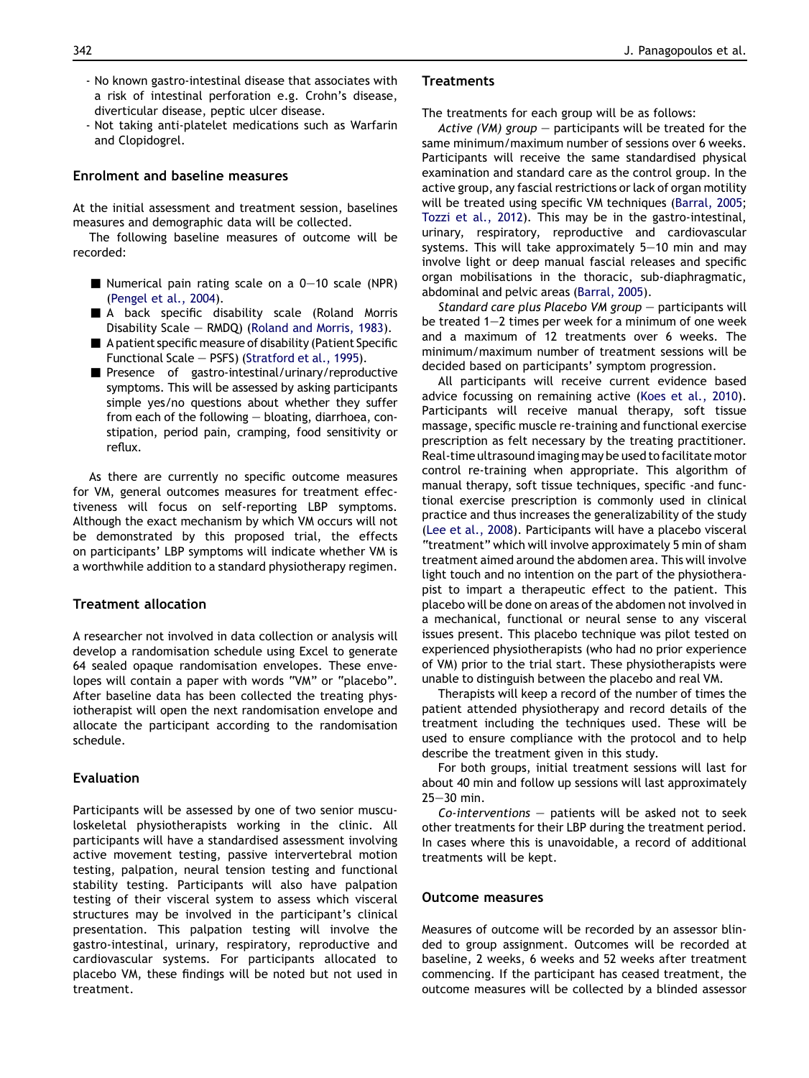- No known gastro-intestinal disease that associates with a risk of intestinal perforation e.g. Crohn's disease, diverticular disease, peptic ulcer disease.
- Not taking anti-platelet medications such as Warfarin and Clopidogrel.

## Enrolment and baseline measures

At the initial assessment and treatment session, baselines measures and demographic data will be collected.

The following baseline measures of outcome will be recorded:

- Numerical pain rating scale on a  $0-10$  scale (NPR) ([Pengel et al., 2004\)](#page-4-0).
- A back specific disability scale (Roland Morris Disability Scale - RMDQ) [\(Roland and Morris, 1983](#page-4-0)).
- $\blacksquare$  A patient specific measure of disability (Patient Specific Functional Scale  $-$  PSFS) [\(Stratford et al., 1995](#page-4-0)).
- Presence of gastro-intestinal/urinary/reproductive symptoms. This will be assessed by asking participants simple yes/no questions about whether they suffer from each of the following  $-$  bloating, diarrhoea, constipation, period pain, cramping, food sensitivity or reflux.

As there are currently no specific outcome measures for VM, general outcomes measures for treatment effectiveness will focus on self-reporting LBP symptoms. Although the exact mechanism by which VM occurs will not be demonstrated by this proposed trial, the effects on participants' LBP symptoms will indicate whether VM is a worthwhile addition to a standard physiotherapy regimen.

# Treatment allocation

A researcher not involved in data collection or analysis will develop a randomisation schedule using Excel to generate 64 sealed opaque randomisation envelopes. These envelopes will contain a paper with words "VM" or "placebo". After baseline data has been collected the treating physiotherapist will open the next randomisation envelope and allocate the participant according to the randomisation schedule.

# Evaluation

Participants will be assessed by one of two senior musculoskeletal physiotherapists working in the clinic. All participants will have a standardised assessment involving active movement testing, passive intervertebral motion testing, palpation, neural tension testing and functional stability testing. Participants will also have palpation testing of their visceral system to assess which visceral structures may be involved in the participant's clinical presentation. This palpation testing will involve the gastro-intestinal, urinary, respiratory, reproductive and cardiovascular systems. For participants allocated to placebo VM, these findings will be noted but not used in treatment.

## **Treatments**

The treatments for each group will be as follows:

Active (VM) group  $-$  participants will be treated for the same minimum/maximum number of sessions over 6 weeks. Participants will receive the same standardised physical examination and standard care as the control group. In the active group, any fascial restrictions or lack of organ motility will be treated using specific VM techniques [\(Barral, 2005;](#page-4-0) [Tozzi et al., 2012](#page-4-0)). This may be in the gastro-intestinal, urinary, respiratory, reproductive and cardiovascular systems. This will take approximately  $5-10$  min and may involve light or deep manual fascial releases and specific organ mobilisations in the thoracic, sub-diaphragmatic, abdominal and pelvic areas [\(Barral, 2005\)](#page-4-0).

Standard care plus Placebo VM group  $-$  participants will be treated  $1-2$  times per week for a minimum of one week and a maximum of 12 treatments over 6 weeks. The minimum/maximum number of treatment sessions will be decided based on participants' symptom progression.

All participants will receive current evidence based advice focussing on remaining active ([Koes et al., 2010](#page-4-0)). Participants will receive manual therapy, soft tissue massage, specific muscle re-training and functional exercise prescription as felt necessary by the treating practitioner. Real-time ultrasound imaging may be used to facilitate motor control re-training when appropriate. This algorithm of manual therapy, soft tissue techniques, specific -and functional exercise prescription is commonly used in clinical practice and thus increases the generalizability of the study [\(Lee et al., 2008\)](#page-4-0). Participants will have a placebo visceral "treatment" which will involve approximately 5 min of sham treatment aimed around the abdomen area. This will involve light touch and no intention on the part of the physiotherapist to impart a therapeutic effect to the patient. This placebo will be done on areas of the abdomen not involved in a mechanical, functional or neural sense to any visceral issues present. This placebo technique was pilot tested on experienced physiotherapists (who had no prior experience of VM) prior to the trial start. These physiotherapists were unable to distinguish between the placebo and real VM.

Therapists will keep a record of the number of times the patient attended physiotherapy and record details of the treatment including the techniques used. These will be used to ensure compliance with the protocol and to help describe the treatment given in this study.

For both groups, initial treatment sessions will last for about 40 min and follow up sessions will last approximately  $25 - 30$  min.

 $Co\text{-}interventions$  - patients will be asked not to seek other treatments for their LBP during the treatment period. In cases where this is unavoidable, a record of additional treatments will be kept.

#### Outcome measures

Measures of outcome will be recorded by an assessor blinded to group assignment. Outcomes will be recorded at baseline, 2 weeks, 6 weeks and 52 weeks after treatment commencing. If the participant has ceased treatment, the outcome measures will be collected by a blinded assessor